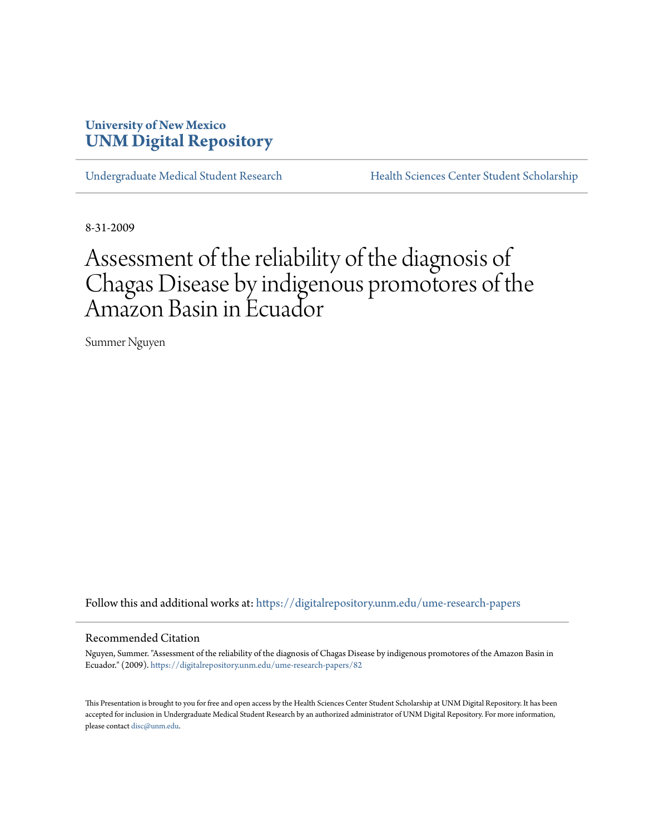## **University of New Mexico [UNM Digital Repository](https://digitalrepository.unm.edu?utm_source=digitalrepository.unm.edu%2Fume-research-papers%2F82&utm_medium=PDF&utm_campaign=PDFCoverPages)**

[Undergraduate Medical Student Research](https://digitalrepository.unm.edu/ume-research-papers?utm_source=digitalrepository.unm.edu%2Fume-research-papers%2F82&utm_medium=PDF&utm_campaign=PDFCoverPages) [Health Sciences Center Student Scholarship](https://digitalrepository.unm.edu/hsc-students?utm_source=digitalrepository.unm.edu%2Fume-research-papers%2F82&utm_medium=PDF&utm_campaign=PDFCoverPages)

8-31-2009

# Assessment of the reliability of the diagnosis of Chagas Disease by indigenous promotores of the Amazon Basin in Ecuador

Summer Nguyen

Follow this and additional works at: [https://digitalrepository.unm.edu/ume-research-papers](https://digitalrepository.unm.edu/ume-research-papers?utm_source=digitalrepository.unm.edu%2Fume-research-papers%2F82&utm_medium=PDF&utm_campaign=PDFCoverPages)

#### Recommended Citation

Nguyen, Summer. "Assessment of the reliability of the diagnosis of Chagas Disease by indigenous promotores of the Amazon Basin in Ecuador." (2009). [https://digitalrepository.unm.edu/ume-research-papers/82](https://digitalrepository.unm.edu/ume-research-papers/82?utm_source=digitalrepository.unm.edu%2Fume-research-papers%2F82&utm_medium=PDF&utm_campaign=PDFCoverPages)

This Presentation is brought to you for free and open access by the Health Sciences Center Student Scholarship at UNM Digital Repository. It has been accepted for inclusion in Undergraduate Medical Student Research by an authorized administrator of UNM Digital Repository. For more information, please contact [disc@unm.edu.](mailto:disc@unm.edu)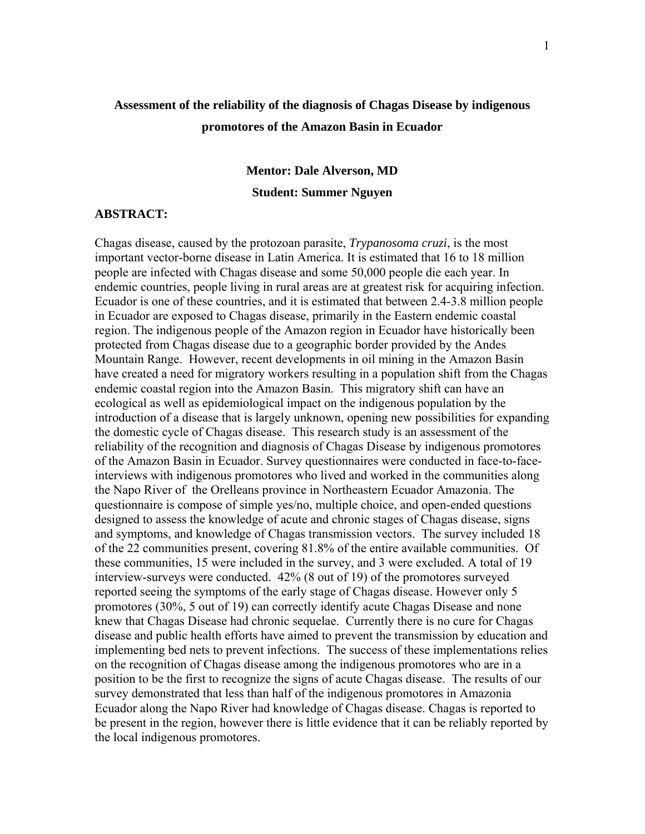# **Assessment of the reliability of the diagnosis of Chagas Disease by indigenous promotores of the Amazon Basin in Ecuador**

# **Mentor: Dale Alverson, MD Student: Summer Nguyen**

#### **ABSTRACT:**

Chagas disease, caused by the protozoan parasite, *Trypanosoma cruzi*, is the most important vector-borne disease in Latin America. It is estimated that 16 to 18 million people are infected with Chagas disease and some 50,000 people die each year. In endemic countries, people living in rural areas are at greatest risk for acquiring infection. Ecuador is one of these countries, and it is estimated that between 2.4-3.8 million people in Ecuador are exposed to Chagas disease, primarily in the Eastern endemic coastal region. The indigenous people of the Amazon region in Ecuador have historically been protected from Chagas disease due to a geographic border provided by the Andes Mountain Range. However, recent developments in oil mining in the Amazon Basin have created a need for migratory workers resulting in a population shift from the Chagas endemic coastal region into the Amazon Basin. This migratory shift can have an ecological as well as epidemiological impact on the indigenous population by the introduction of a disease that is largely unknown, opening new possibilities for expanding the domestic cycle of Chagas disease. This research study is an assessment of the reliability of the recognition and diagnosis of Chagas Disease by indigenous promotores of the Amazon Basin in Ecuador. Survey questionnaires were conducted in face-to-faceinterviews with indigenous promotores who lived and worked in the communities along the Napo River of the Orelleans province in Northeastern Ecuador Amazonia. The questionnaire is compose of simple yes/no, multiple choice, and open-ended questions designed to assess the knowledge of acute and chronic stages of Chagas disease, signs and symptoms, and knowledge of Chagas transmission vectors. The survey included 18 of the 22 communities present, covering 81.8% of the entire available communities. Of these communities, 15 were included in the survey, and 3 were excluded. A total of 19 interview-surveys were conducted. 42% (8 out of 19) of the promotores surveyed reported seeing the symptoms of the early stage of Chagas disease. However only 5 promotores (30%, 5 out of 19) can correctly identify acute Chagas Disease and none knew that Chagas Disease had chronic sequelae. Currently there is no cure for Chagas disease and public health efforts have aimed to prevent the transmission by education and implementing bed nets to prevent infections. The success of these implementations relies on the recognition of Chagas disease among the indigenous promotores who are in a position to be the first to recognize the signs of acute Chagas disease. The results of our survey demonstrated that less than half of the indigenous promotores in Amazonia Ecuador along the Napo River had knowledge of Chagas disease. Chagas is reported to be present in the region, however there is little evidence that it can be reliably reported by the local indigenous promotores.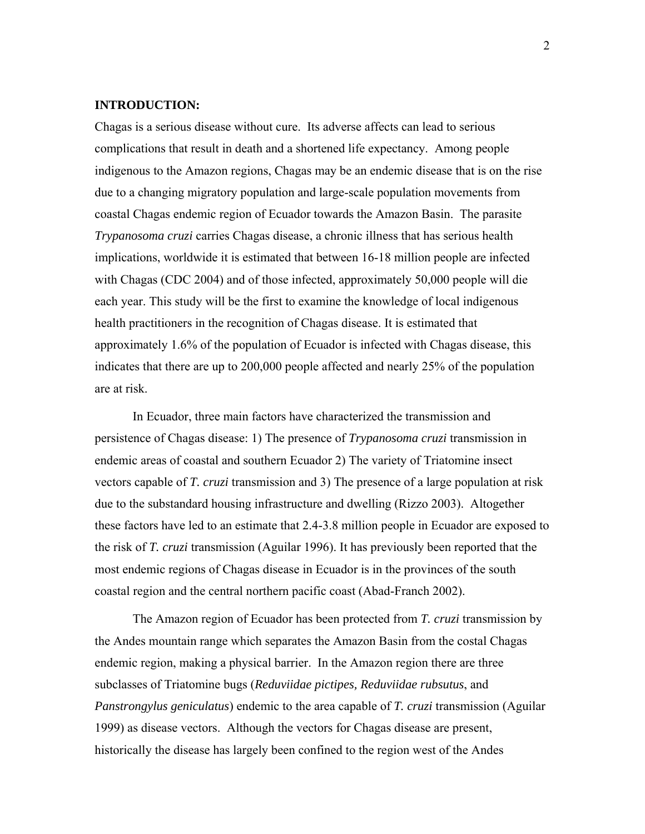#### **INTRODUCTION:**

Chagas is a serious disease without cure. Its adverse affects can lead to serious complications that result in death and a shortened life expectancy. Among people indigenous to the Amazon regions, Chagas may be an endemic disease that is on the rise due to a changing migratory population and large-scale population movements from coastal Chagas endemic region of Ecuador towards the Amazon Basin. The parasite *Trypanosoma cruzi* carries Chagas disease, a chronic illness that has serious health implications, worldwide it is estimated that between 16-18 million people are infected with Chagas (CDC 2004) and of those infected, approximately 50,000 people will die each year. This study will be the first to examine the knowledge of local indigenous health practitioners in the recognition of Chagas disease. It is estimated that approximately 1.6% of the population of Ecuador is infected with Chagas disease, this indicates that there are up to 200,000 people affected and nearly 25% of the population are at risk.

In Ecuador, three main factors have characterized the transmission and persistence of Chagas disease: 1) The presence of *Trypanosoma cruzi* transmission in endemic areas of coastal and southern Ecuador 2) The variety of Triatomine insect vectors capable of *T. cruzi* transmission and 3) The presence of a large population at risk due to the substandard housing infrastructure and dwelling (Rizzo 2003). Altogether these factors have led to an estimate that 2.4-3.8 million people in Ecuador are exposed to the risk of *T. cruzi* transmission (Aguilar 1996). It has previously been reported that the most endemic regions of Chagas disease in Ecuador is in the provinces of the south coastal region and the central northern pacific coast (Abad-Franch 2002).

The Amazon region of Ecuador has been protected from *T. cruzi* transmission by the Andes mountain range which separates the Amazon Basin from the costal Chagas endemic region, making a physical barrier. In the Amazon region there are three subclasses of Triatomine bugs (*Reduviidae pictipes, Reduviidae rubsutus*, and *Panstrongylus geniculatus*) endemic to the area capable of *T. cruzi* transmission (Aguilar 1999) as disease vectors. Although the vectors for Chagas disease are present, historically the disease has largely been confined to the region west of the Andes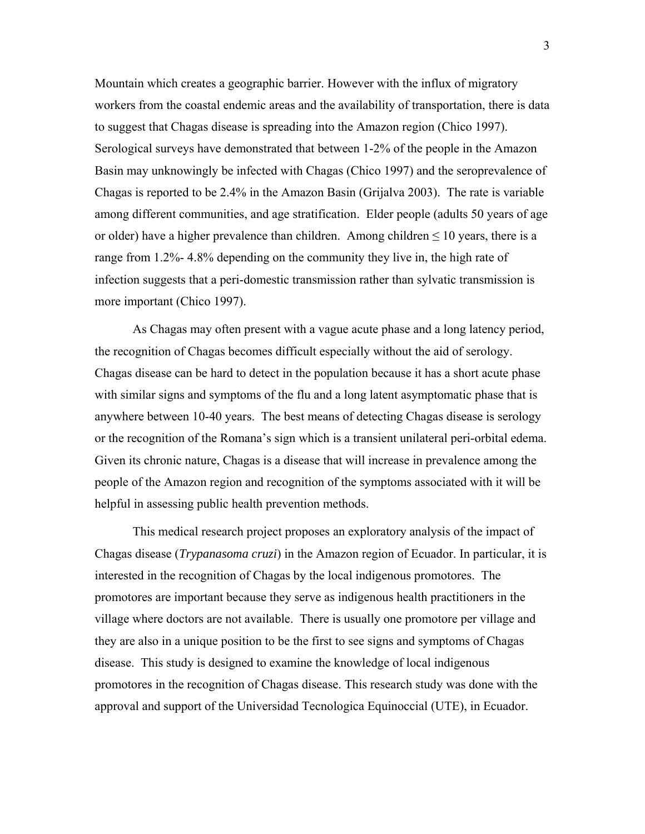Mountain which creates a geographic barrier. However with the influx of migratory workers from the coastal endemic areas and the availability of transportation, there is data to suggest that Chagas disease is spreading into the Amazon region (Chico 1997). Serological surveys have demonstrated that between 1-2% of the people in the Amazon Basin may unknowingly be infected with Chagas (Chico 1997) and the seroprevalence of Chagas is reported to be 2.4% in the Amazon Basin (Grijalva 2003). The rate is variable among different communities, and age stratification. Elder people (adults 50 years of age or older) have a higher prevalence than children. Among children  $\leq 10$  years, there is a range from 1.2%- 4.8% depending on the community they live in, the high rate of infection suggests that a peri-domestic transmission rather than sylvatic transmission is more important (Chico 1997).

As Chagas may often present with a vague acute phase and a long latency period, the recognition of Chagas becomes difficult especially without the aid of serology. Chagas disease can be hard to detect in the population because it has a short acute phase with similar signs and symptoms of the flu and a long latent asymptomatic phase that is anywhere between 10-40 years. The best means of detecting Chagas disease is serology or the recognition of the Romana's sign which is a transient unilateral peri-orbital edema. Given its chronic nature, Chagas is a disease that will increase in prevalence among the people of the Amazon region and recognition of the symptoms associated with it will be helpful in assessing public health prevention methods.

This medical research project proposes an exploratory analysis of the impact of Chagas disease (*Trypanasoma cruzi*) in the Amazon region of Ecuador. In particular, it is interested in the recognition of Chagas by the local indigenous promotores. The promotores are important because they serve as indigenous health practitioners in the village where doctors are not available. There is usually one promotore per village and they are also in a unique position to be the first to see signs and symptoms of Chagas disease. This study is designed to examine the knowledge of local indigenous promotores in the recognition of Chagas disease. This research study was done with the approval and support of the Universidad Tecnologica Equinoccial (UTE), in Ecuador.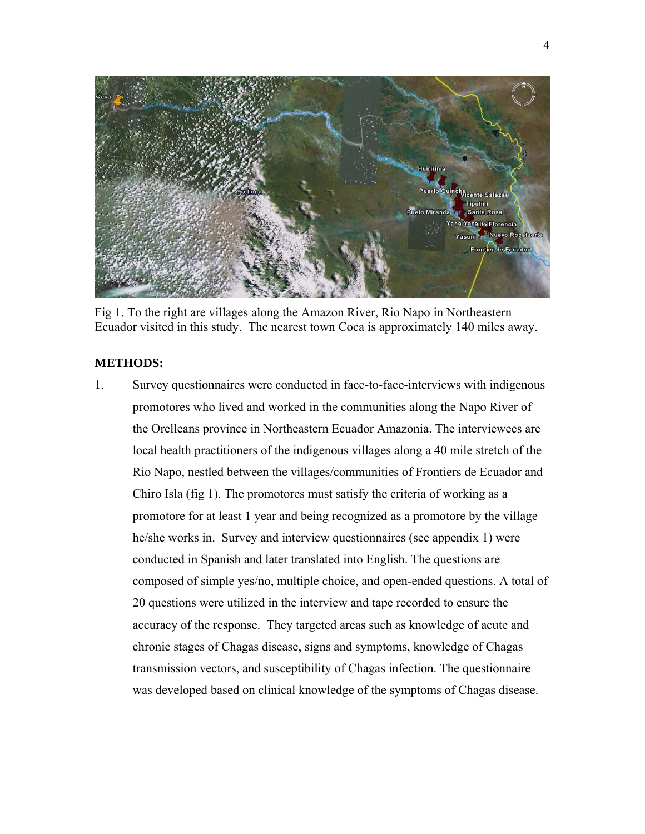

Fig 1. To the right are villages along the Amazon River, Rio Napo in Northeastern Ecuador visited in this study. The nearest town Coca is approximately 140 miles away.

#### **METHODS:**

1. Survey questionnaires were conducted in face-to-face-interviews with indigenous promotores who lived and worked in the communities along the Napo River of the Orelleans province in Northeastern Ecuador Amazonia. The interviewees are local health practitioners of the indigenous villages along a 40 mile stretch of the Rio Napo, nestled between the villages/communities of Frontiers de Ecuador and Chiro Isla (fig 1). The promotores must satisfy the criteria of working as a promotore for at least 1 year and being recognized as a promotore by the village he/she works in. Survey and interview questionnaires (see appendix 1) were conducted in Spanish and later translated into English. The questions are composed of simple yes/no, multiple choice, and open-ended questions. A total of 20 questions were utilized in the interview and tape recorded to ensure the accuracy of the response. They targeted areas such as knowledge of acute and chronic stages of Chagas disease, signs and symptoms, knowledge of Chagas transmission vectors, and susceptibility of Chagas infection. The questionnaire was developed based on clinical knowledge of the symptoms of Chagas disease.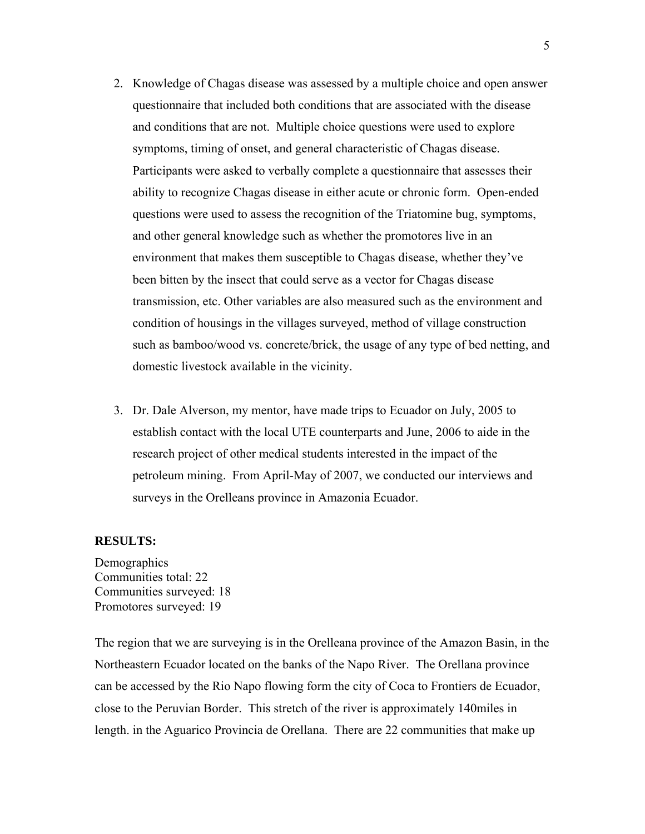- 2. Knowledge of Chagas disease was assessed by a multiple choice and open answer questionnaire that included both conditions that are associated with the disease and conditions that are not. Multiple choice questions were used to explore symptoms, timing of onset, and general characteristic of Chagas disease. Participants were asked to verbally complete a questionnaire that assesses their ability to recognize Chagas disease in either acute or chronic form. Open-ended questions were used to assess the recognition of the Triatomine bug, symptoms, and other general knowledge such as whether the promotores live in an environment that makes them susceptible to Chagas disease, whether they've been bitten by the insect that could serve as a vector for Chagas disease transmission, etc. Other variables are also measured such as the environment and condition of housings in the villages surveyed, method of village construction such as bamboo/wood vs. concrete/brick, the usage of any type of bed netting, and domestic livestock available in the vicinity.
- 3. Dr. Dale Alverson, my mentor, have made trips to Ecuador on July, 2005 to establish contact with the local UTE counterparts and June, 2006 to aide in the research project of other medical students interested in the impact of the petroleum mining. From April-May of 2007, we conducted our interviews and surveys in the Orelleans province in Amazonia Ecuador.

#### **RESULTS:**

**Demographics** Communities total: 22 Communities surveyed: 18 Promotores surveyed: 19

The region that we are surveying is in the Orelleana province of the Amazon Basin, in the Northeastern Ecuador located on the banks of the Napo River. The Orellana province can be accessed by the Rio Napo flowing form the city of Coca to Frontiers de Ecuador, close to the Peruvian Border. This stretch of the river is approximately 140miles in length. in the Aguarico Provincia de Orellana. There are 22 communities that make up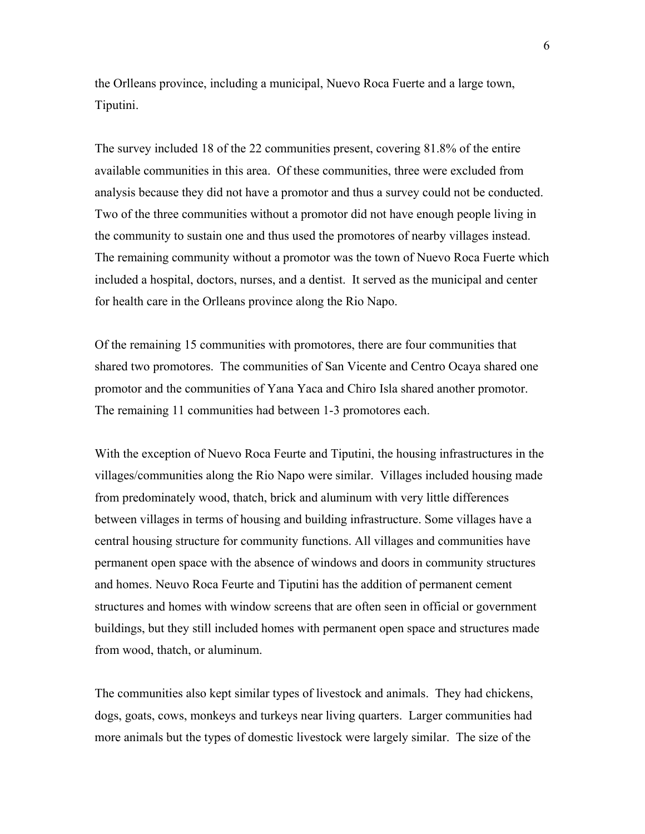the Orlleans province, including a municipal, Nuevo Roca Fuerte and a large town, Tiputini.

The survey included 18 of the 22 communities present, covering 81.8% of the entire available communities in this area. Of these communities, three were excluded from analysis because they did not have a promotor and thus a survey could not be conducted. Two of the three communities without a promotor did not have enough people living in the community to sustain one and thus used the promotores of nearby villages instead. The remaining community without a promotor was the town of Nuevo Roca Fuerte which included a hospital, doctors, nurses, and a dentist. It served as the municipal and center for health care in the Orlleans province along the Rio Napo.

Of the remaining 15 communities with promotores, there are four communities that shared two promotores. The communities of San Vicente and Centro Ocaya shared one promotor and the communities of Yana Yaca and Chiro Isla shared another promotor. The remaining 11 communities had between 1-3 promotores each.

With the exception of Nuevo Roca Feurte and Tiputini, the housing infrastructures in the villages/communities along the Rio Napo were similar. Villages included housing made from predominately wood, thatch, brick and aluminum with very little differences between villages in terms of housing and building infrastructure. Some villages have a central housing structure for community functions. All villages and communities have permanent open space with the absence of windows and doors in community structures and homes. Neuvo Roca Feurte and Tiputini has the addition of permanent cement structures and homes with window screens that are often seen in official or government buildings, but they still included homes with permanent open space and structures made from wood, thatch, or aluminum.

The communities also kept similar types of livestock and animals. They had chickens, dogs, goats, cows, monkeys and turkeys near living quarters. Larger communities had more animals but the types of domestic livestock were largely similar. The size of the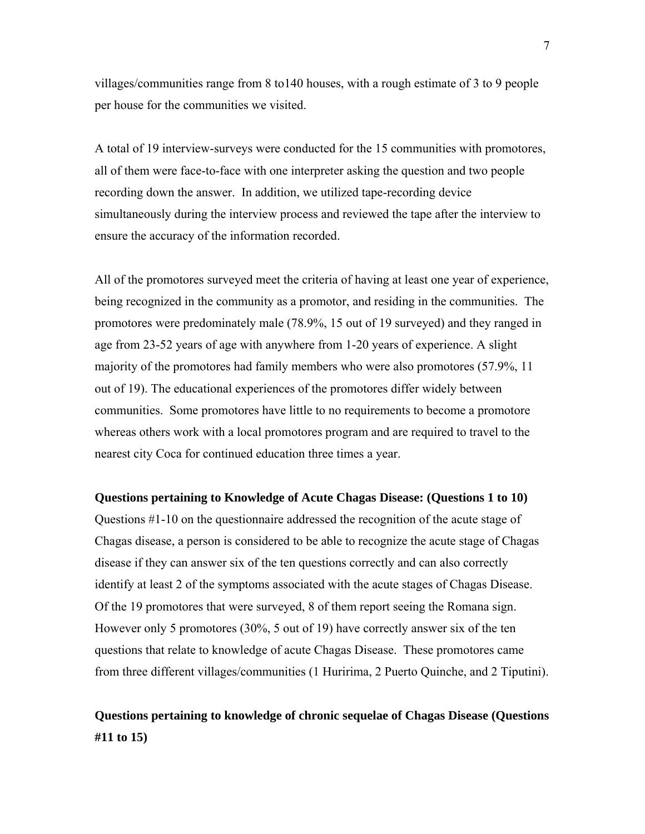villages/communities range from 8 to140 houses, with a rough estimate of 3 to 9 people per house for the communities we visited.

A total of 19 interview-surveys were conducted for the 15 communities with promotores, all of them were face-to-face with one interpreter asking the question and two people recording down the answer. In addition, we utilized tape-recording device simultaneously during the interview process and reviewed the tape after the interview to ensure the accuracy of the information recorded.

All of the promotores surveyed meet the criteria of having at least one year of experience, being recognized in the community as a promotor, and residing in the communities. The promotores were predominately male (78.9%, 15 out of 19 surveyed) and they ranged in age from 23-52 years of age with anywhere from 1-20 years of experience. A slight majority of the promotores had family members who were also promotores (57.9%, 11 out of 19). The educational experiences of the promotores differ widely between communities. Some promotores have little to no requirements to become a promotore whereas others work with a local promotores program and are required to travel to the nearest city Coca for continued education three times a year.

#### **Questions pertaining to Knowledge of Acute Chagas Disease: (Questions 1 to 10)**

Questions #1-10 on the questionnaire addressed the recognition of the acute stage of Chagas disease, a person is considered to be able to recognize the acute stage of Chagas disease if they can answer six of the ten questions correctly and can also correctly identify at least 2 of the symptoms associated with the acute stages of Chagas Disease. Of the 19 promotores that were surveyed, 8 of them report seeing the Romana sign. However only 5 promotores (30%, 5 out of 19) have correctly answer six of the ten questions that relate to knowledge of acute Chagas Disease. These promotores came from three different villages/communities (1 Huririma, 2 Puerto Quinche, and 2 Tiputini).

# **Questions pertaining to knowledge of chronic sequelae of Chagas Disease (Questions #11 to 15)**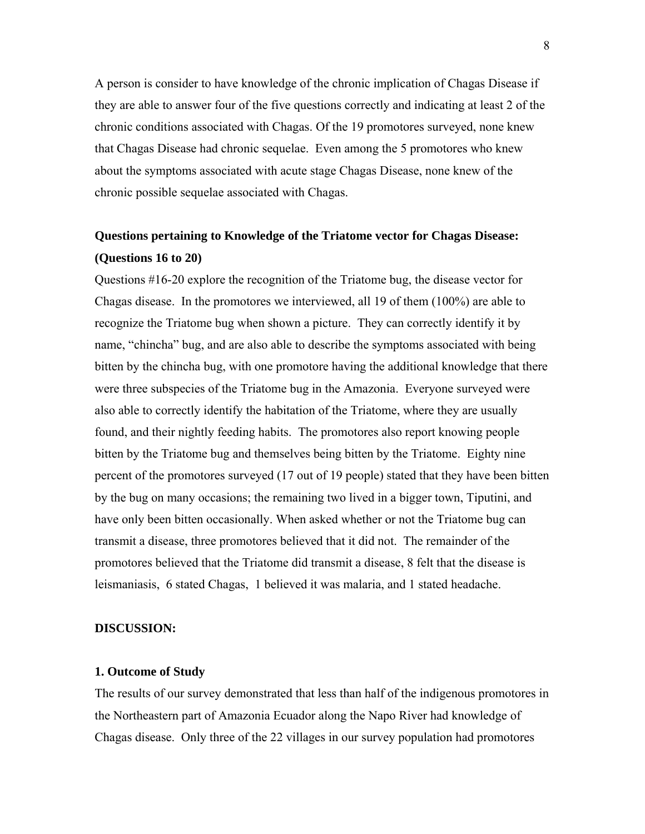A person is consider to have knowledge of the chronic implication of Chagas Disease if they are able to answer four of the five questions correctly and indicating at least 2 of the chronic conditions associated with Chagas. Of the 19 promotores surveyed, none knew that Chagas Disease had chronic sequelae. Even among the 5 promotores who knew about the symptoms associated with acute stage Chagas Disease, none knew of the chronic possible sequelae associated with Chagas.

# **Questions pertaining to Knowledge of the Triatome vector for Chagas Disease: (Questions 16 to 20)**

Questions #16-20 explore the recognition of the Triatome bug, the disease vector for Chagas disease. In the promotores we interviewed, all 19 of them (100%) are able to recognize the Triatome bug when shown a picture. They can correctly identify it by name, "chincha" bug, and are also able to describe the symptoms associated with being bitten by the chincha bug, with one promotore having the additional knowledge that there were three subspecies of the Triatome bug in the Amazonia. Everyone surveyed were also able to correctly identify the habitation of the Triatome, where they are usually found, and their nightly feeding habits. The promotores also report knowing people bitten by the Triatome bug and themselves being bitten by the Triatome. Eighty nine percent of the promotores surveyed (17 out of 19 people) stated that they have been bitten by the bug on many occasions; the remaining two lived in a bigger town, Tiputini, and have only been bitten occasionally. When asked whether or not the Triatome bug can transmit a disease, three promotores believed that it did not. The remainder of the promotores believed that the Triatome did transmit a disease, 8 felt that the disease is leismaniasis, 6 stated Chagas, 1 believed it was malaria, and 1 stated headache.

#### **DISCUSSION:**

#### **1. Outcome of Study**

The results of our survey demonstrated that less than half of the indigenous promotores in the Northeastern part of Amazonia Ecuador along the Napo River had knowledge of Chagas disease. Only three of the 22 villages in our survey population had promotores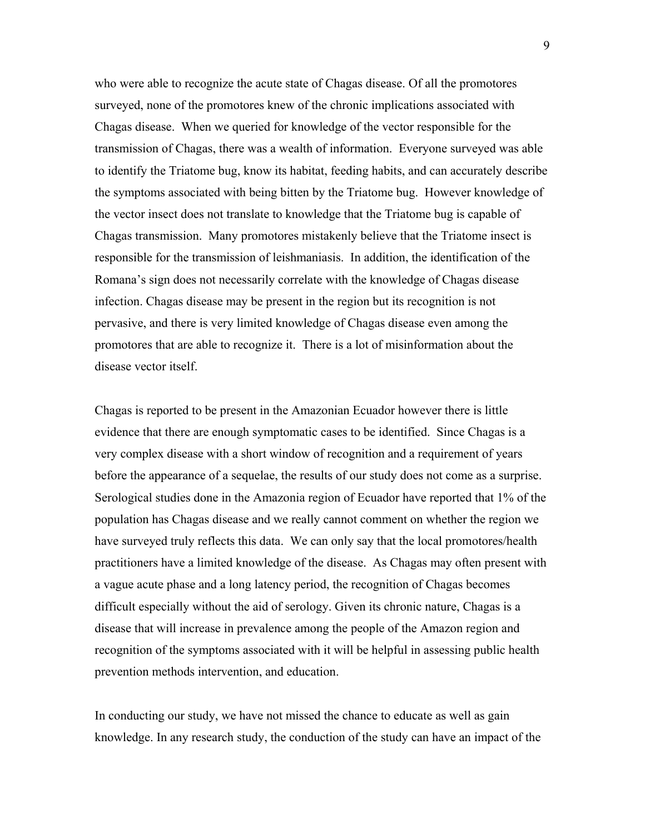who were able to recognize the acute state of Chagas disease. Of all the promotores surveyed, none of the promotores knew of the chronic implications associated with Chagas disease. When we queried for knowledge of the vector responsible for the transmission of Chagas, there was a wealth of information. Everyone surveyed was able to identify the Triatome bug, know its habitat, feeding habits, and can accurately describe the symptoms associated with being bitten by the Triatome bug. However knowledge of the vector insect does not translate to knowledge that the Triatome bug is capable of Chagas transmission. Many promotores mistakenly believe that the Triatome insect is responsible for the transmission of leishmaniasis. In addition, the identification of the Romana's sign does not necessarily correlate with the knowledge of Chagas disease infection. Chagas disease may be present in the region but its recognition is not pervasive, and there is very limited knowledge of Chagas disease even among the promotores that are able to recognize it. There is a lot of misinformation about the disease vector itself.

Chagas is reported to be present in the Amazonian Ecuador however there is little evidence that there are enough symptomatic cases to be identified. Since Chagas is a very complex disease with a short window of recognition and a requirement of years before the appearance of a sequelae, the results of our study does not come as a surprise. Serological studies done in the Amazonia region of Ecuador have reported that 1% of the population has Chagas disease and we really cannot comment on whether the region we have surveyed truly reflects this data. We can only say that the local promotores/health practitioners have a limited knowledge of the disease. As Chagas may often present with a vague acute phase and a long latency period, the recognition of Chagas becomes difficult especially without the aid of serology. Given its chronic nature, Chagas is a disease that will increase in prevalence among the people of the Amazon region and recognition of the symptoms associated with it will be helpful in assessing public health prevention methods intervention, and education.

In conducting our study, we have not missed the chance to educate as well as gain knowledge. In any research study, the conduction of the study can have an impact of the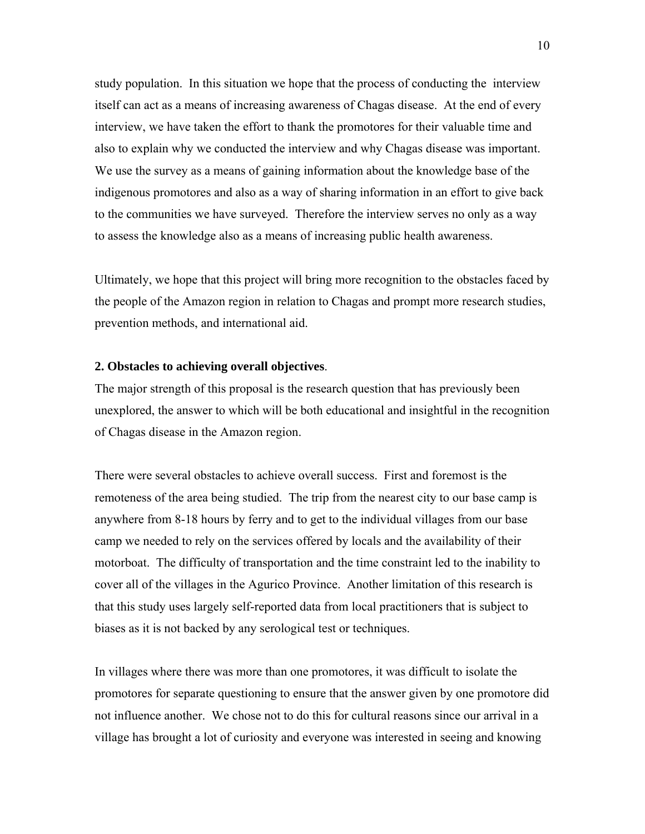study population. In this situation we hope that the process of conducting the interview itself can act as a means of increasing awareness of Chagas disease. At the end of every interview, we have taken the effort to thank the promotores for their valuable time and also to explain why we conducted the interview and why Chagas disease was important. We use the survey as a means of gaining information about the knowledge base of the indigenous promotores and also as a way of sharing information in an effort to give back to the communities we have surveyed. Therefore the interview serves no only as a way to assess the knowledge also as a means of increasing public health awareness.

Ultimately, we hope that this project will bring more recognition to the obstacles faced by the people of the Amazon region in relation to Chagas and prompt more research studies, prevention methods, and international aid.

#### **2. Obstacles to achieving overall objectives**.

The major strength of this proposal is the research question that has previously been unexplored, the answer to which will be both educational and insightful in the recognition of Chagas disease in the Amazon region.

There were several obstacles to achieve overall success. First and foremost is the remoteness of the area being studied. The trip from the nearest city to our base camp is anywhere from 8-18 hours by ferry and to get to the individual villages from our base camp we needed to rely on the services offered by locals and the availability of their motorboat. The difficulty of transportation and the time constraint led to the inability to cover all of the villages in the Agurico Province. Another limitation of this research is that this study uses largely self-reported data from local practitioners that is subject to biases as it is not backed by any serological test or techniques.

In villages where there was more than one promotores, it was difficult to isolate the promotores for separate questioning to ensure that the answer given by one promotore did not influence another. We chose not to do this for cultural reasons since our arrival in a village has brought a lot of curiosity and everyone was interested in seeing and knowing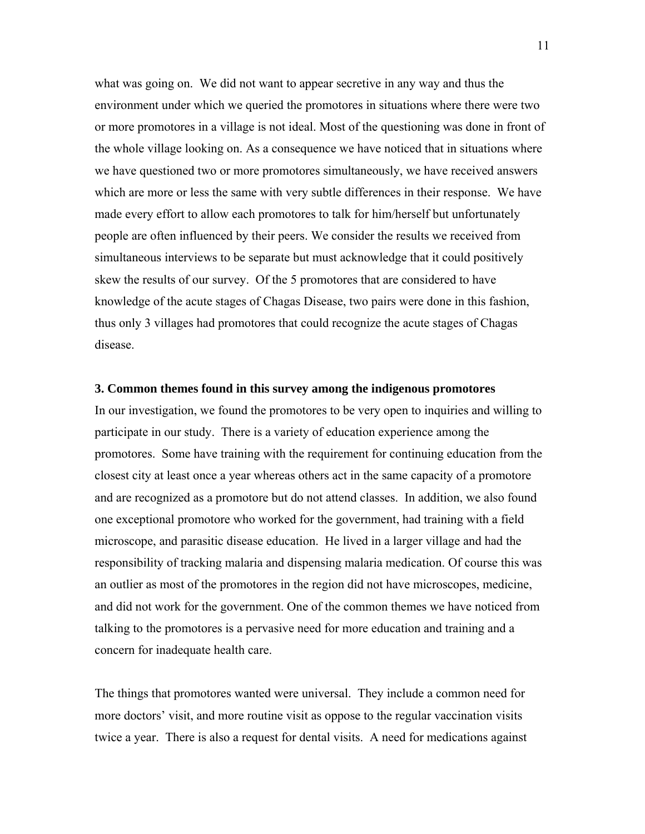what was going on. We did not want to appear secretive in any way and thus the environment under which we queried the promotores in situations where there were two or more promotores in a village is not ideal. Most of the questioning was done in front of the whole village looking on. As a consequence we have noticed that in situations where we have questioned two or more promotores simultaneously, we have received answers which are more or less the same with very subtle differences in their response. We have made every effort to allow each promotores to talk for him/herself but unfortunately people are often influenced by their peers. We consider the results we received from simultaneous interviews to be separate but must acknowledge that it could positively skew the results of our survey. Of the 5 promotores that are considered to have knowledge of the acute stages of Chagas Disease, two pairs were done in this fashion, thus only 3 villages had promotores that could recognize the acute stages of Chagas disease.

#### **3. Common themes found in this survey among the indigenous promotores**

In our investigation, we found the promotores to be very open to inquiries and willing to participate in our study. There is a variety of education experience among the promotores. Some have training with the requirement for continuing education from the closest city at least once a year whereas others act in the same capacity of a promotore and are recognized as a promotore but do not attend classes. In addition, we also found one exceptional promotore who worked for the government, had training with a field microscope, and parasitic disease education. He lived in a larger village and had the responsibility of tracking malaria and dispensing malaria medication. Of course this was an outlier as most of the promotores in the region did not have microscopes, medicine, and did not work for the government. One of the common themes we have noticed from talking to the promotores is a pervasive need for more education and training and a concern for inadequate health care.

The things that promotores wanted were universal. They include a common need for more doctors' visit, and more routine visit as oppose to the regular vaccination visits twice a year. There is also a request for dental visits. A need for medications against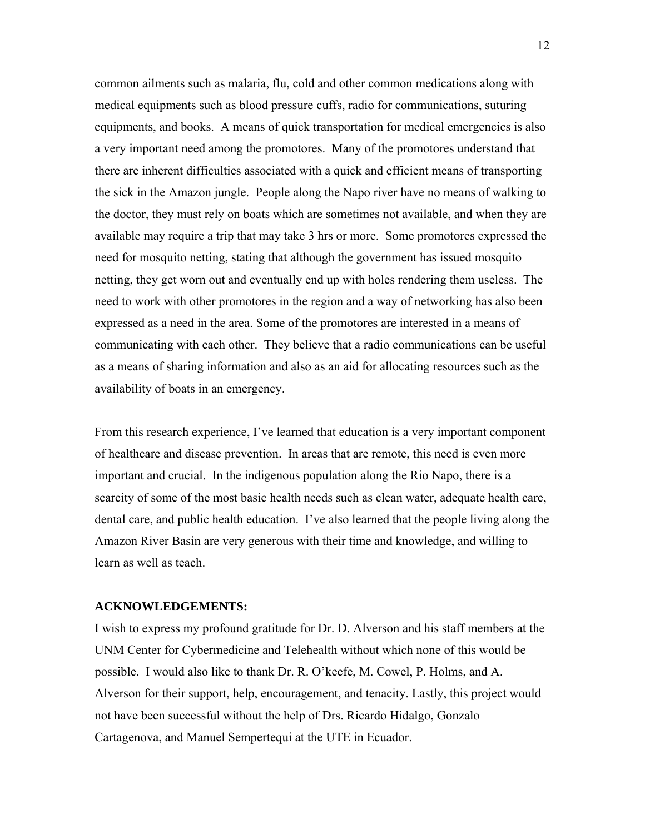common ailments such as malaria, flu, cold and other common medications along with medical equipments such as blood pressure cuffs, radio for communications, suturing equipments, and books. A means of quick transportation for medical emergencies is also a very important need among the promotores. Many of the promotores understand that there are inherent difficulties associated with a quick and efficient means of transporting the sick in the Amazon jungle. People along the Napo river have no means of walking to the doctor, they must rely on boats which are sometimes not available, and when they are available may require a trip that may take 3 hrs or more. Some promotores expressed the need for mosquito netting, stating that although the government has issued mosquito netting, they get worn out and eventually end up with holes rendering them useless. The need to work with other promotores in the region and a way of networking has also been expressed as a need in the area. Some of the promotores are interested in a means of communicating with each other. They believe that a radio communications can be useful as a means of sharing information and also as an aid for allocating resources such as the availability of boats in an emergency.

From this research experience, I've learned that education is a very important component of healthcare and disease prevention. In areas that are remote, this need is even more important and crucial. In the indigenous population along the Rio Napo, there is a scarcity of some of the most basic health needs such as clean water, adequate health care, dental care, and public health education. I've also learned that the people living along the Amazon River Basin are very generous with their time and knowledge, and willing to learn as well as teach.

#### **ACKNOWLEDGEMENTS:**

I wish to express my profound gratitude for Dr. D. Alverson and his staff members at the UNM Center for Cybermedicine and Telehealth without which none of this would be possible. I would also like to thank Dr. R. O'keefe, M. Cowel, P. Holms, and A. Alverson for their support, help, encouragement, and tenacity. Lastly, this project would not have been successful without the help of Drs. Ricardo Hidalgo, Gonzalo Cartagenova, and Manuel Sempertequi at the UTE in Ecuador.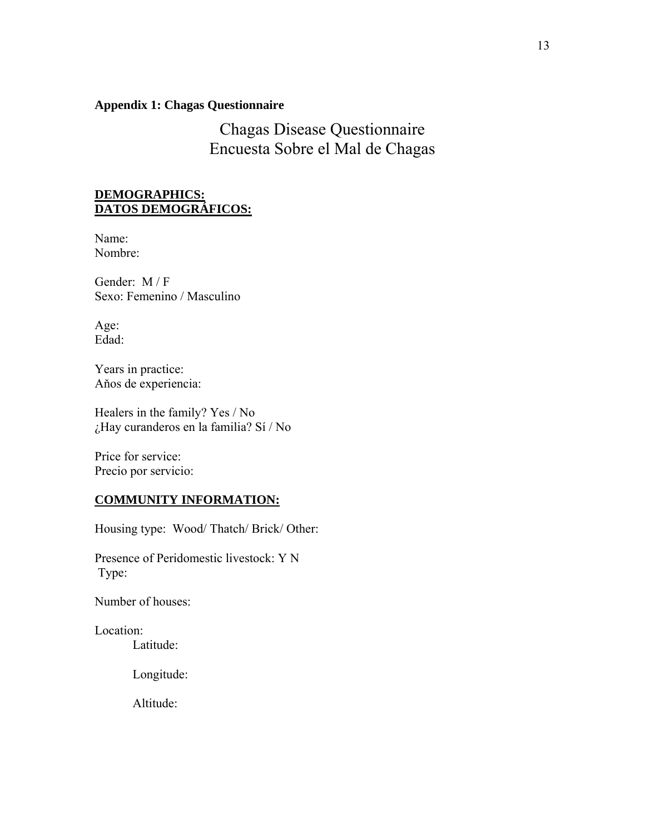#### **Appendix 1: Chagas Questionnaire**

Chagas Disease Questionnaire Encuesta Sobre el Mal de Chagas

#### **DEMOGRAPHICS: DATOS DEMOGRÁFICOS:**

Name: Nombre:

Gender: M / F Sexo: Femenino / Masculino

Age: Edad:

Years in practice: Aňos de experiencia:

Healers in the family? Yes / No ¿Hay curanderos en la familia? Sí / No

Price for service: Precio por servicio:

#### **COMMUNITY INFORMATION:**

Housing type: Wood/ Thatch/ Brick/ Other:

Presence of Peridomestic livestock: Y N Type:

Number of houses:

Location:

Latitude:

Longitude:

Altitude: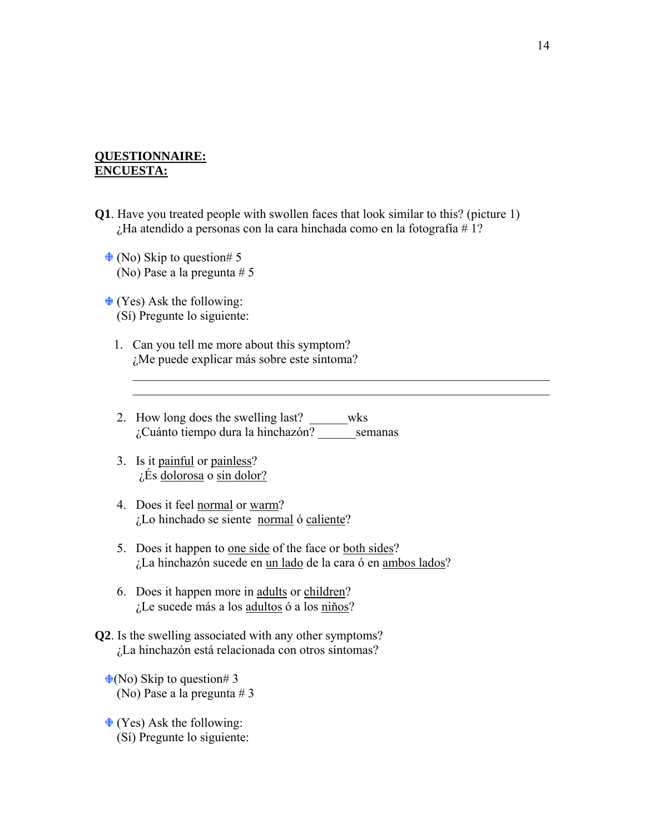#### **QUESTIONNAIRE: ENCUESTA:**

**Q1**. Have you treated people with swollen faces that look similar to this? (picture 1) ¿Ha atendido a personas con la cara hinchada como en la fotografía # 1?

 $\_$  , and the contribution of the contribution of  $\mathcal{L}_\mathcal{A}$  , and the contribution of  $\mathcal{L}_\mathcal{A}$  $\_$  , and the contribution of the contribution of  $\mathcal{L}_\mathcal{A}$  , and the contribution of  $\mathcal{L}_\mathcal{A}$ 

- $\triangleq$  (No) Skip to question# 5 (No) Pase a la pregunta # 5
- $\triangleq$  (Yes) Ask the following: (Sí) Pregunte lo siguiente:
	- 1. Can you tell me more about this symptom? ¿Me puede explicar más sobre este síntoma?
	- 2. How long does the swelling last? \_\_\_\_\_\_wks ¿Cuánto tiempo dura la hinchazón? \_\_\_\_\_\_semanas
	- 3. Is it painful or painless? ¿És dolorosa o sin dolor?
	- 4. Does it feel normal or warm? ¿Lo hinchado se siente normal ó caliente?
	- 5. Does it happen to one side of the face or both sides? ¿La hinchazón sucede en un lado de la cara ó en ambos lados?
	- 6. Does it happen more in adults or children? ¿Le sucede más a los adultos ó a los niňos?
- **Q2**. Is the swelling associated with any other symptoms? ¿La hinchazón está relacionada con otros síntomas?
	- $\bigoplus$ (No) Skip to question# 3 (No) Pase a la pregunta # 3
	- $\triangleq$  (Yes) Ask the following: (Sí) Pregunte lo siguiente: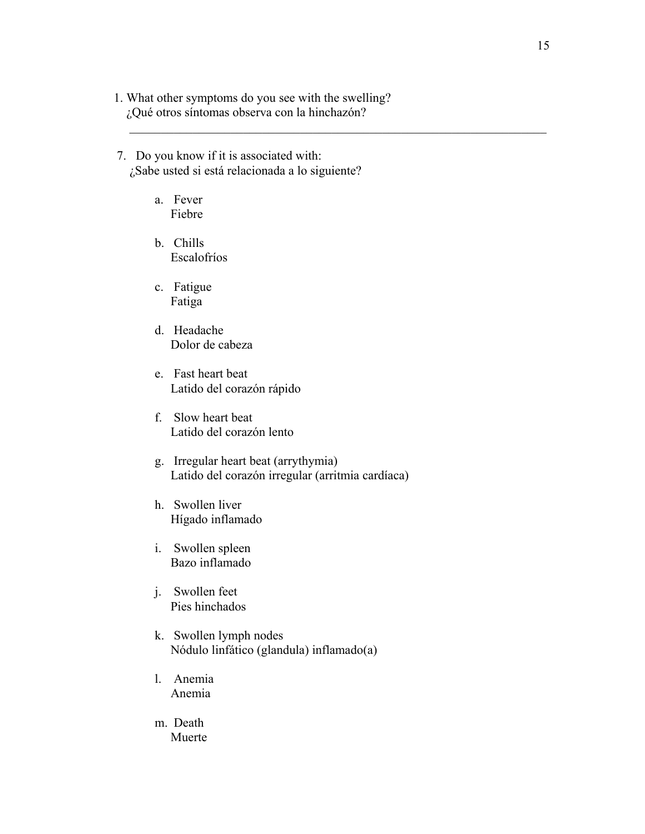1. What other symptoms do you see with the swelling? ¿Qué otros síntomas observa con la hinchazón?

 $\mathcal{L}_\mathcal{L} = \mathcal{L}_\mathcal{L} = \mathcal{L}_\mathcal{L} = \mathcal{L}_\mathcal{L} = \mathcal{L}_\mathcal{L} = \mathcal{L}_\mathcal{L} = \mathcal{L}_\mathcal{L} = \mathcal{L}_\mathcal{L} = \mathcal{L}_\mathcal{L} = \mathcal{L}_\mathcal{L} = \mathcal{L}_\mathcal{L} = \mathcal{L}_\mathcal{L} = \mathcal{L}_\mathcal{L} = \mathcal{L}_\mathcal{L} = \mathcal{L}_\mathcal{L} = \mathcal{L}_\mathcal{L} = \mathcal{L}_\mathcal{L}$ 

- 7. Do you know if it is associated with: ¿Sabe usted si está relacionada a lo siguiente?
	- a. Fever Fiebre
	- b. Chills Escalofríos
	- c. Fatigue Fatiga
	- d. Headache Dolor de cabeza
	- e. Fast heart beat Latido del corazón rápido
	- f. Slow heart beat Latido del corazón lento
	- g. Irregular heart beat (arrythymia) Latido del corazón irregular (arritmia cardíaca)
	- h. Swollen liver Hígado inflamado
	- i. Swollen spleen Bazo inflamado
	- j. Swollen feet Pies hinchados
	- k. Swollen lymph nodes Nódulo linfático (glandula) inflamado(a)
	- l. Anemia Anemia
	- m. Death Muerte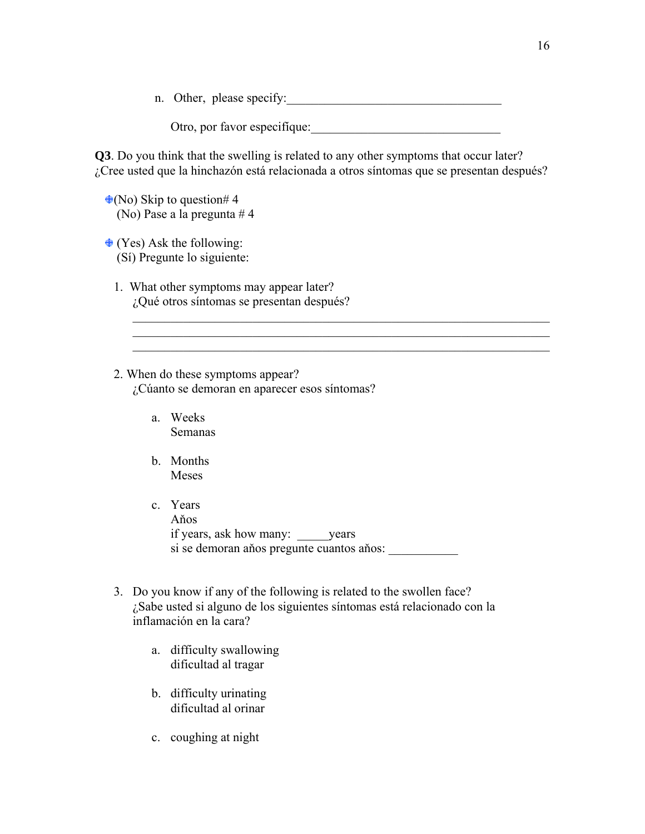n. Other, please specify:

Otro, por favor especifíque:

 $\_$  , and the contribution of the contribution of  $\mathcal{L}_\mathcal{A}$  , and the contribution of  $\mathcal{L}_\mathcal{A}$ \_\_\_\_\_\_\_\_\_\_\_\_\_\_\_\_\_\_\_\_\_\_\_\_\_\_\_\_\_\_\_\_\_\_\_\_\_\_\_\_\_\_\_\_\_\_\_\_\_\_\_\_\_\_\_\_\_\_\_\_\_\_\_\_\_\_

**Q3**. Do you think that the swelling is related to any other symptoms that occur later? ¿Cree usted que la hinchazón está relacionada a otros síntomas que se presentan después?

 $\triangleq$ (No) Skip to question# 4 (No) Pase a la pregunta # 4

 $\triangleq$  (Yes) Ask the following: (Sí) Pregunte lo siguiente:

1. What other symptoms may appear later? ¿Qué otros síntomas se presentan después?

2. When do these symptoms appear? ¿Cúanto se demoran en aparecer esos síntomas?

- a. Weeks Semanas
- b. Months Meses
- c. Years Aňos if years, ask how many: \_\_\_\_\_years si se demoran años pregunte cuantos años:
- 3. Do you know if any of the following is related to the swollen face? ¿Sabe usted si alguno de los siguientes síntomas está relacionado con la inflamación en la cara?
	- a. difficulty swallowing dificultad al tragar
	- b. difficulty urinating dificultad al orinar
	- c. coughing at night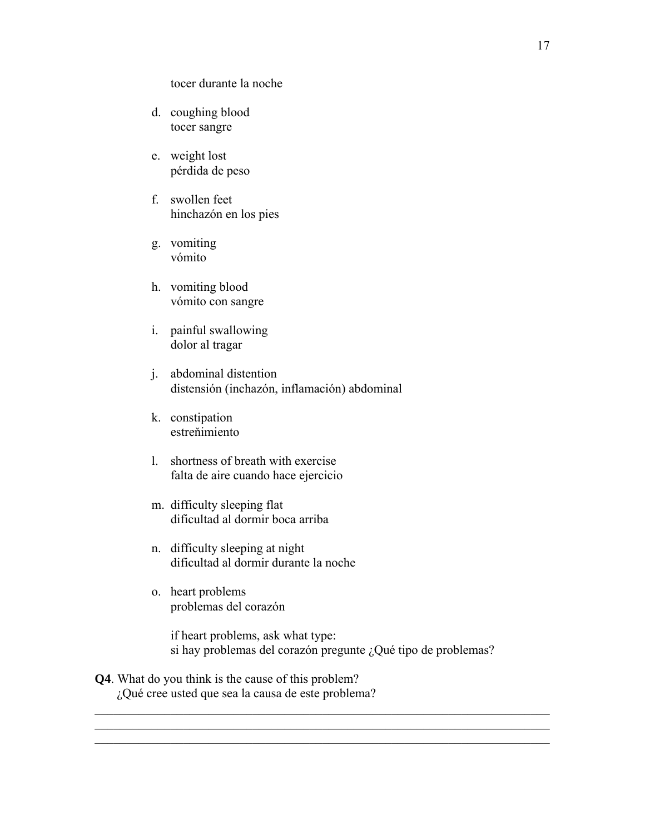tocer durante la noche

- d. coughing blood tocer sangre
- e. weight lost pérdida de peso
- f. swollen feet hinchazón en los pies
- g. vomiting vómito
- h. vomiting blood vómito con sangre
- i. painful swallowing dolor al tragar
- j. abdominal distention distensión (inchazón, inflamación) abdominal
- k. constipation estreňimiento
- l. shortness of breath with exercise falta de aire cuando hace ejercicio
- m. difficulty sleeping flat dificultad al dormir boca arriba
- n. difficulty sleeping at night dificultad al dormir durante la noche
- o. heart problems problemas del corazón

if heart problems, ask what type: si hay problemas del corazón pregunte ¿Qué tipo de problemas?

 $\mathcal{L}_\text{max} = \mathcal{L}_\text{max} = \mathcal{L}_\text{max} = \mathcal{L}_\text{max} = \mathcal{L}_\text{max} = \mathcal{L}_\text{max} = \mathcal{L}_\text{max} = \mathcal{L}_\text{max} = \mathcal{L}_\text{max} = \mathcal{L}_\text{max} = \mathcal{L}_\text{max} = \mathcal{L}_\text{max} = \mathcal{L}_\text{max} = \mathcal{L}_\text{max} = \mathcal{L}_\text{max} = \mathcal{L}_\text{max} = \mathcal{L}_\text{max} = \mathcal{L}_\text{max} = \mathcal{$  $\mathcal{L}_\mathcal{L} = \{ \mathcal{L}_\mathcal{L} = \{ \mathcal{L}_\mathcal{L} = \{ \mathcal{L}_\mathcal{L} = \{ \mathcal{L}_\mathcal{L} = \{ \mathcal{L}_\mathcal{L} = \{ \mathcal{L}_\mathcal{L} = \{ \mathcal{L}_\mathcal{L} = \{ \mathcal{L}_\mathcal{L} = \{ \mathcal{L}_\mathcal{L} = \{ \mathcal{L}_\mathcal{L} = \{ \mathcal{L}_\mathcal{L} = \{ \mathcal{L}_\mathcal{L} = \{ \mathcal{L}_\mathcal{L} = \{ \mathcal{L}_\mathcal{$  $\mathcal{L}_\mathcal{L}$  , and the contribution of the contribution of the contribution of the contribution of the contribution of the contribution of the contribution of the contribution of the contribution of the contribution of

**Q4**. What do you think is the cause of this problem? ¿Qué cree usted que sea la causa de este problema?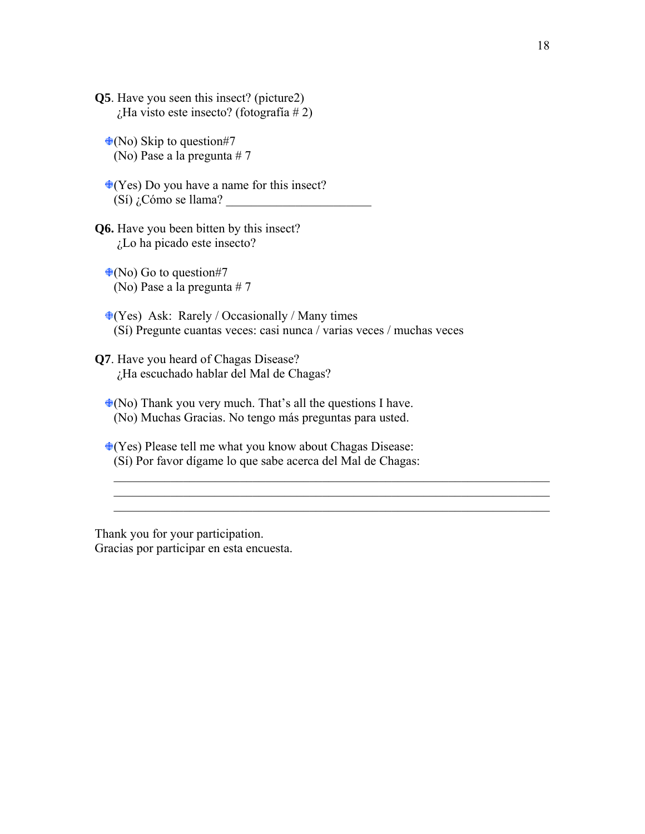**Q5**. Have you seen this insect? (picture2)  $\chi$ Ha visto este insecto? (fotografía # 2)

 $\triangleleft$ (No) Skip to question#7 (No) Pase a la pregunta # 7

 $\triangleleft$ (Yes) Do you have a name for this insect?  $(Si)$  ¿Cómo se llama?

**Q6.** Have you been bitten by this insect? ¿Lo ha picado este insecto?

 $\triangleq$ (No) Go to question#7 (No) Pase a la pregunta # 7

 $\triangleleft$ (Yes) Ask: Rarely / Occasionally / Many times (Sí) Pregunte cuantas veces: casi nunca / varias veces / muchas veces

**Q7**. Have you heard of Chagas Disease? ¿Ha escuchado hablar del Mal de Chagas?

 $\triangleq$ (No) Thank you very much. That's all the questions I have. (No) Muchas Gracias. No tengo más preguntas para usted.

 $\triangleleft$ (Yes) Please tell me what you know about Chagas Disease: (Sí) Por favor dígame lo que sabe acerca del Mal de Chagas:

 $\_$  , and the contribution of the contribution of  $\mathcal{L}_\mathcal{A}$  , and the contribution of  $\mathcal{L}_\mathcal{A}$  $\mathcal{L}_\text{max} = \mathcal{L}_\text{max} = \mathcal{L}_\text{max} = \mathcal{L}_\text{max} = \mathcal{L}_\text{max} = \mathcal{L}_\text{max} = \mathcal{L}_\text{max} = \mathcal{L}_\text{max} = \mathcal{L}_\text{max} = \mathcal{L}_\text{max} = \mathcal{L}_\text{max} = \mathcal{L}_\text{max} = \mathcal{L}_\text{max} = \mathcal{L}_\text{max} = \mathcal{L}_\text{max} = \mathcal{L}_\text{max} = \mathcal{L}_\text{max} = \mathcal{L}_\text{max} = \mathcal{$  $\_$  , and the contribution of the contribution of  $\mathcal{L}_\mathcal{A}$  , and the contribution of  $\mathcal{L}_\mathcal{A}$ 

Thank you for your participation. Gracias por participar en esta encuesta.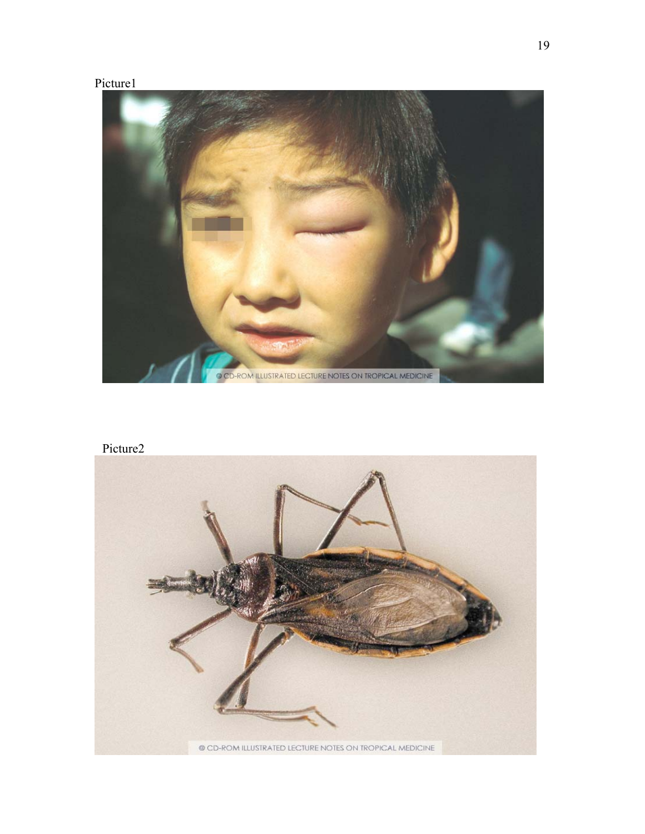### Picture1



# Picture2

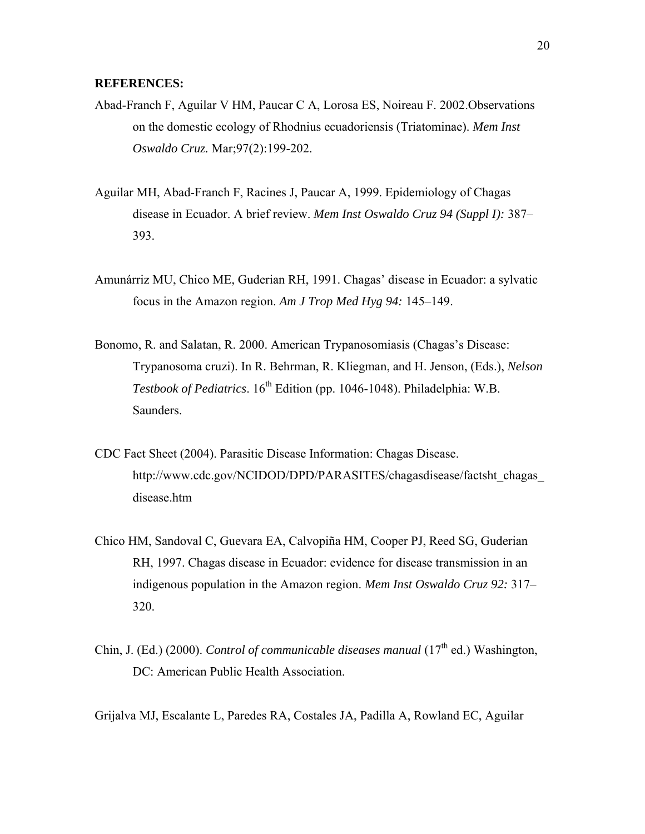#### **REFERENCES:**

- Abad-Franch F, Aguilar V HM, Paucar C A, Lorosa ES, Noireau F. 2002.Observations on the domestic ecology of Rhodnius ecuadoriensis (Triatominae). *Mem Inst Oswaldo Cruz.* Mar;97(2):199-202.
- Aguilar MH, Abad-Franch F, Racines J, Paucar A, 1999. Epidemiology of Chagas disease in Ecuador. A brief review. *Mem Inst Oswaldo Cruz 94 (Suppl I):* 387– 393.
- Amunárriz MU, Chico ME, Guderian RH, 1991. Chagas' disease in Ecuador: a sylvatic focus in the Amazon region. *Am J Trop Med Hyg 94:* 145–149.
- Bonomo, R. and Salatan, R. 2000. American Trypanosomiasis (Chagas's Disease: Trypanosoma cruzi). In R. Behrman, R. Kliegman, and H. Jenson, (Eds.), *Nelson Testbook of Pediatrics*. 16<sup>th</sup> Edition (pp. 1046-1048). Philadelphia: W.B. Saunders.
- CDC Fact Sheet (2004). Parasitic Disease Information: Chagas Disease. http://www.cdc.gov/NCIDOD/DPD/PARASITES/chagasdisease/factsht\_chagas\_ disease.htm
- Chico HM, Sandoval C, Guevara EA, Calvopiña HM, Cooper PJ, Reed SG, Guderian RH, 1997. Chagas disease in Ecuador: evidence for disease transmission in an indigenous population in the Amazon region. *Mem Inst Oswaldo Cruz 92:* 317– 320.
- Chin, J. (Ed.) (2000). *Control of communicable diseases manual* ( $17<sup>th</sup>$  ed.) Washington, DC: American Public Health Association.
- Grijalva MJ, Escalante L, Paredes RA, Costales JA, Padilla A, Rowland EC, Aguilar